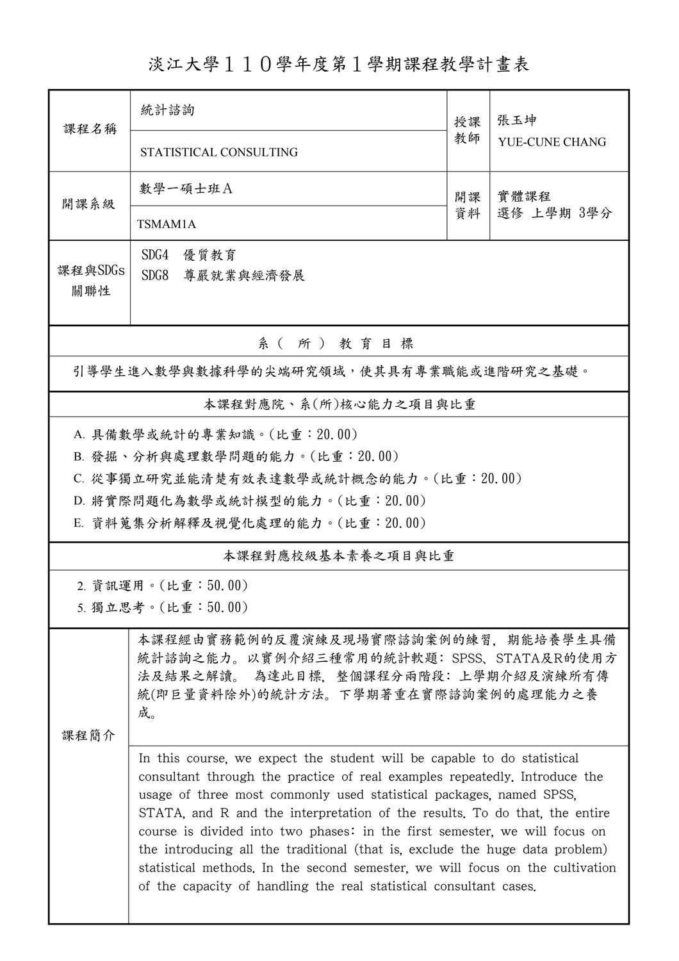淡江大學110學年度第1學期課程教學計畫表

| 課程名稱                                                                                                                                                                          | 統計諮詢                                                                                                                                                                                                                                                                                                                                                                                                                                                                                                                                                                                                                            | 授課       | 張玉坤<br>YUE-CUNE CHANG |  |  |  |  |  |  |
|-------------------------------------------------------------------------------------------------------------------------------------------------------------------------------|---------------------------------------------------------------------------------------------------------------------------------------------------------------------------------------------------------------------------------------------------------------------------------------------------------------------------------------------------------------------------------------------------------------------------------------------------------------------------------------------------------------------------------------------------------------------------------------------------------------------------------|----------|-----------------------|--|--|--|--|--|--|
|                                                                                                                                                                               | STATISTICAL CONSULTING                                                                                                                                                                                                                                                                                                                                                                                                                                                                                                                                                                                                          | 教師       |                       |  |  |  |  |  |  |
| 開課系級                                                                                                                                                                          | 數學一碩士班A                                                                                                                                                                                                                                                                                                                                                                                                                                                                                                                                                                                                                         | 開課<br>資料 | 實體課程<br>選修 上學期 3學分    |  |  |  |  |  |  |
|                                                                                                                                                                               | TSMAM1A                                                                                                                                                                                                                                                                                                                                                                                                                                                                                                                                                                                                                         |          |                       |  |  |  |  |  |  |
| 課程與SDGs<br>關聯性                                                                                                                                                                | SDG4<br>優質教育<br>SDG8<br>尊嚴就業與經濟發展                                                                                                                                                                                                                                                                                                                                                                                                                                                                                                                                                                                               |          |                       |  |  |  |  |  |  |
| 系(所)教育目標                                                                                                                                                                      |                                                                                                                                                                                                                                                                                                                                                                                                                                                                                                                                                                                                                                 |          |                       |  |  |  |  |  |  |
| 引導學生進入數學與數據科學的尖端研究領域,使其具有專業職能或進階研究之基礎。                                                                                                                                        |                                                                                                                                                                                                                                                                                                                                                                                                                                                                                                                                                                                                                                 |          |                       |  |  |  |  |  |  |
| 本課程對應院、系(所)核心能力之項目與比重                                                                                                                                                         |                                                                                                                                                                                                                                                                                                                                                                                                                                                                                                                                                                                                                                 |          |                       |  |  |  |  |  |  |
| A. 具備數學或統計的專業知識。(比重: 20.00)                                                                                                                                                   |                                                                                                                                                                                                                                                                                                                                                                                                                                                                                                                                                                                                                                 |          |                       |  |  |  |  |  |  |
|                                                                                                                                                                               | B. 發掘、分析與處理數學問題的能力。(比重:20.00)                                                                                                                                                                                                                                                                                                                                                                                                                                                                                                                                                                                                   |          |                       |  |  |  |  |  |  |
|                                                                                                                                                                               | C. 從事獨立研究並能清楚有效表達數學或統計概念的能力。(比重: 20.00)                                                                                                                                                                                                                                                                                                                                                                                                                                                                                                                                                                                         |          |                       |  |  |  |  |  |  |
|                                                                                                                                                                               | D. 將實際問題化為數學或統計模型的能力。(比重: 20.00)                                                                                                                                                                                                                                                                                                                                                                                                                                                                                                                                                                                                |          |                       |  |  |  |  |  |  |
|                                                                                                                                                                               | E. 資料蒐集分析解釋及視覺化處理的能力。(比重: 20.00)                                                                                                                                                                                                                                                                                                                                                                                                                                                                                                                                                                                                |          |                       |  |  |  |  |  |  |
| 本課程對應校級基本素養之項目與比重                                                                                                                                                             |                                                                                                                                                                                                                                                                                                                                                                                                                                                                                                                                                                                                                                 |          |                       |  |  |  |  |  |  |
|                                                                                                                                                                               | 2. 資訊運用。(比重:50.00)                                                                                                                                                                                                                                                                                                                                                                                                                                                                                                                                                                                                              |          |                       |  |  |  |  |  |  |
|                                                                                                                                                                               | 5. 獨立思考。(比重:50.00)                                                                                                                                                                                                                                                                                                                                                                                                                                                                                                                                                                                                              |          |                       |  |  |  |  |  |  |
| 本課程經由實務範例的反覆演練及現場實際諮詢案例的練習,期能培養學生具備<br>統計諮詢之能力。以實例介紹三種常用的統計軟題: SPSS、STATA及R的使用方<br>法及結果之解讀。 為達此目標, 整個課程分兩階段: 上學期介紹及演練所有傳<br>統(即巨量資料除外)的統計方法。下學期著重在實際諮詢案例的處理能力之養<br>成。<br>课程简介 |                                                                                                                                                                                                                                                                                                                                                                                                                                                                                                                                                                                                                                 |          |                       |  |  |  |  |  |  |
|                                                                                                                                                                               | In this course, we expect the student will be capable to do statistical<br>consultant through the practice of real examples repeatedly. Introduce the<br>usage of three most commonly used statistical packages, named SPSS,<br>STATA, and R and the interpretation of the results. To do that, the entire<br>course is divided into two phases: in the first semester, we will focus on<br>the introducing all the traditional (that is, exclude the huge data problem)<br>statistical methods. In the second semester, we will focus on the cultivation<br>of the capacity of handling the real statistical consultant cases. |          |                       |  |  |  |  |  |  |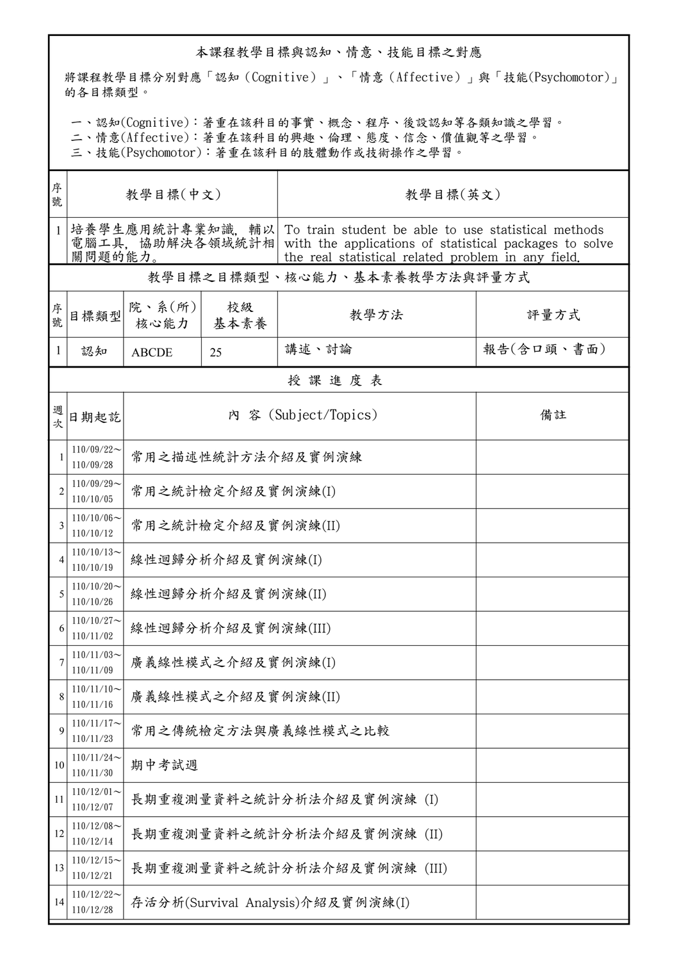## 本課程教學目標與認知、情意、技能目標之對應

將課程教學目標分別對應「認知(Cognitive)」、「情意(Affective)」與「技能(Psychomotor)」 的各目標類型。

一、認知(Cognitive):著重在該科目的事實、概念、程序、後設認知等各類知識之學習。

二、情意(Affective):著重在該科目的興趣、倫理、態度、信念、價值觀等之學習。

三、技能(Psychomotor):著重在該科目的肢體動作或技術操作之學習。

| 序<br>號         |                            | 教學目標(中文)             |                  | 教學目標(英文)                                                                                                                                                                                             |            |  |  |
|----------------|----------------------------|----------------------|------------------|------------------------------------------------------------------------------------------------------------------------------------------------------------------------------------------------------|------------|--|--|
| $\mathbf{1}$   | 關問題的能力。                    |                      |                  | 培養學生應用統計專業知識, 輔以 To train student be able to use statistical methods<br>電腦工具,協助解決各領域統計相 with the applications of statistical packages to solve<br>the real statistical related problem in any field. |            |  |  |
|                |                            |                      |                  | 教學目標之目標類型、核心能力、基本素養教學方法與評量方式                                                                                                                                                                         |            |  |  |
| 序號             | 目標類型                       | 院、系(所)<br>核心能力       | 校級<br>基本素養       | 教學方法                                                                                                                                                                                                 | 評量方式       |  |  |
| 1              | 認知                         | <b>ABCDE</b>         | 25               | 講述、討論                                                                                                                                                                                                | 報告(含口頭、書面) |  |  |
| 授課進度表          |                            |                      |                  |                                                                                                                                                                                                      |            |  |  |
| 週次             | 日期起訖                       | 內 容 (Subject/Topics) |                  |                                                                                                                                                                                                      | 備註         |  |  |
| 1              | $110/09/22$ ~<br>110/09/28 | 常用之描述性統計方法介紹及實例演練    |                  |                                                                                                                                                                                                      |            |  |  |
| $\overline{c}$ | $110/09/29$ ~<br>110/10/05 | 常用之統計檢定介紹及實例演練(I)    |                  |                                                                                                                                                                                                      |            |  |  |
| 3              | $110/10/06$ ~<br>110/10/12 | 常用之統計檢定介紹及實例演練(II)   |                  |                                                                                                                                                                                                      |            |  |  |
| 4              | $110/10/13$ ~<br>110/10/19 |                      | 線性迴歸分析介紹及實例演練(I) |                                                                                                                                                                                                      |            |  |  |
| 5              | $110/10/20$ ~<br>110/10/26 | 線性迴歸分析介紹及實例演練(II)    |                  |                                                                                                                                                                                                      |            |  |  |
| 6              | $110/10/27$ ~<br>110/11/02 | 線性迴歸分析介紹及實例演練(III)   |                  |                                                                                                                                                                                                      |            |  |  |
|                | $110/11/03$ ~<br>110/11/09 | 廣義線性模式之介紹及實例演練(I)    |                  |                                                                                                                                                                                                      |            |  |  |
| 8              | $110/11/10$ ~<br>110/11/16 | 廣義線性模式之介紹及實例演練(II)   |                  |                                                                                                                                                                                                      |            |  |  |
| 9              | $110/11/17$ ~<br>110/11/23 | 常用之傳統檢定方法與廣義線性模式之比較  |                  |                                                                                                                                                                                                      |            |  |  |
| 10             | $110/11/24$ ~<br>110/11/30 | 期中考試週                |                  |                                                                                                                                                                                                      |            |  |  |
| 11             | $110/12/01$ ~<br>110/12/07 |                      |                  | 長期重複測量資料之統計分析法介紹及實例演練 (I)                                                                                                                                                                            |            |  |  |
| 12             | $110/12/08$ ~<br>110/12/14 |                      |                  | 長期重複測量資料之統計分析法介紹及實例演練 (II)                                                                                                                                                                           |            |  |  |
| 13             | $110/12/15$ ~<br>110/12/21 |                      |                  | 長期重複測量資料之統計分析法介紹及實例演練 (III)                                                                                                                                                                          |            |  |  |
| 14             | $110/12/22$ ~<br>110/12/28 |                      |                  | 存活分析(Survival Analysis)介紹及實例演練(I)                                                                                                                                                                    |            |  |  |